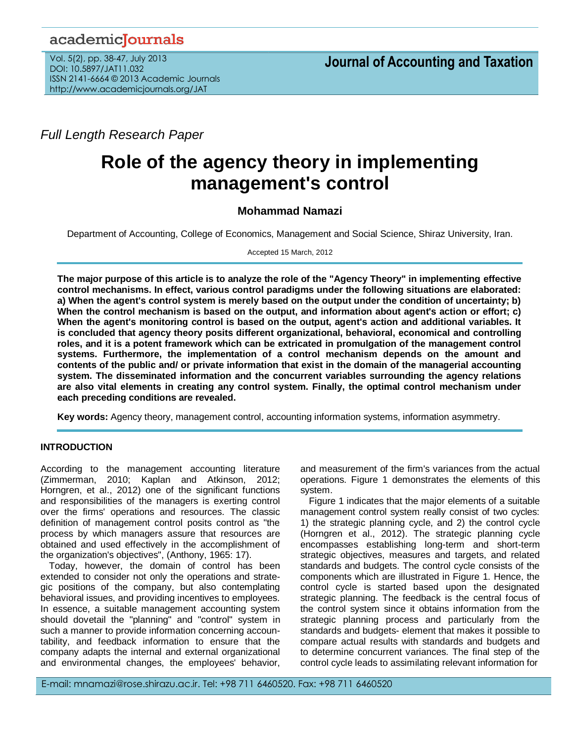# academicJournals

Vol. 5(2), pp. 38-47, July 2013 DOI: 10.5897/JAT11.032 ISSN 2141-6664 © 2013 Academic Journals http://www.academicjournals.org/JAT

*Full Length Research Paper*

# **Role of the agency theory in implementing management's control**

## **Mohammad Namazi**

Department of Accounting, College of Economics, Management and Social Science, Shiraz University, Iran.

Accepted 15 March, 2012

**The major purpose of this article is to analyze the role of the "Agency Theory" in implementing effective control mechanisms. In effect, various control paradigms under the following situations are elaborated: a) When the agent's control system is merely based on the output under the condition of uncertainty; b) When the control mechanism is based on the output, and information about agent's action or effort; c) When the agent's monitoring control is based on the output, agent's action and additional variables. It is concluded that agency theory posits different organizational, behavioral, economical and controlling roles, and it is a potent framework which can be extricated in promulgation of the management control systems. Furthermore, the implementation of a control mechanism depends on the amount and contents of the public and/ or private information that exist in the domain of the managerial accounting system. The disseminated information and the concurrent variables surrounding the agency relations are also vital elements in creating any control system. Finally, the optimal control mechanism under each preceding conditions are revealed.**

**Key words:** Agency theory, management control, accounting information systems, information asymmetry.

#### **INTRODUCTION**

According to the management accounting literature (Zimmerman, 2010; Kaplan and Atkinson, 2012; Horngren, et al., 2012) one of the significant functions and responsibilities of the managers is exerting control over the firms' operations and resources. The classic definition of management control posits control as "the process by which managers assure that resources are obtained and used effectively in the accomplishment of the organization's objectives", (Anthony, 1965: 17).

Today, however, the domain of control has been extended to consider not only the operations and strategic positions of the company, but also contemplating behavioral issues, and providing incentives to employees. In essence, a suitable management accounting system should dovetail the "planning" and "control" system in such a manner to provide information concerning accountability, and feedback information to ensure that the company adapts the internal and external organizational and environmental changes, the employees' behavior,

and measurement of the firm's variances from the actual operations. Figure 1 demonstrates the elements of this system.

Figure 1 indicates that the major elements of a suitable management control system really consist of two cycles: 1) the strategic planning cycle, and 2) the control cycle (Horngren et al., 2012). The strategic planning cycle encompasses establishing long-term and short-term strategic objectives, measures and targets, and related standards and budgets. The control cycle consists of the components which are illustrated in Figure 1. Hence, the control cycle is started based upon the designated strategic planning. The feedback is the central focus of the control system since it obtains information from the strategic planning process and particularly from the standards and budgets- element that makes it possible to compare actual results with standards and budgets and to determine concurrent variances. The final step of the control cycle leads to assimilating relevant information for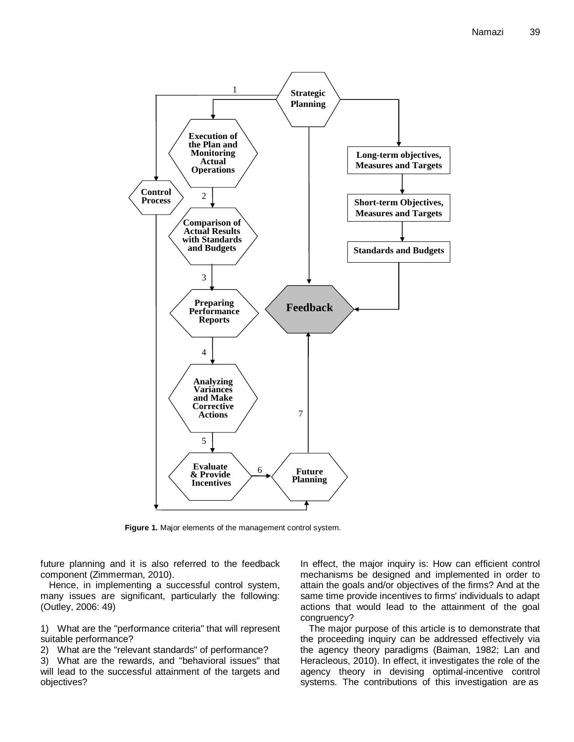

**Figure 1.** Major elements of the management control system.

future planning and it is also referred to the feedback component (Zimmerman, 2010).

Hence, in implementing a successful control system, many issues are significant, particularly the following: (Outley, 2006: 49)

1) What are the "performance criteria" that will represent suitable performance?

2) What are the "relevant standards" of performance?

3) What are the rewards, and "behavioral issues" that will lead to the successful attainment of the targets and objectives?

In effect, the major inquiry is: How can efficient control mechanisms be designed and implemented in order to attain the goals and/or objectives of the firms? And at the same time provide incentives to firms' individuals to adapt actions that would lead to the attainment of the goal congruency?

The major purpose of this article is to demonstrate that the proceeding inquiry can be addressed effectively via the agency theory paradigms (Baiman, 1982; Lan and Heracleous, 2010). In effect, it investigates the role of the agency theory in devising optimal-incentive control systems. The contributions of this investigation are as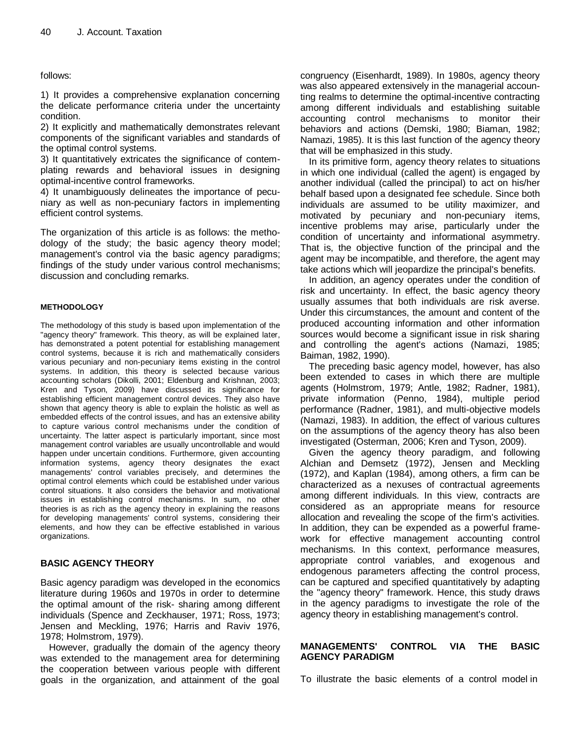follows:

1) It provides a comprehensive explanation concerning the delicate performance criteria under the uncertainty condition.

2) It explicitly and mathematically demonstrates relevant components of the significant variables and standards of the optimal control systems.

3) It quantitatively extricates the significance of contemplating rewards and behavioral issues in designing optimal-incentive control frameworks.

4) It unambiguously delineates the importance of pecuniary as well as non-pecuniary factors in implementing efficient control systems.

The organization of this article is as follows: the methodology of the study; the basic agency theory model; management's control via the basic agency paradigms; findings of the study under various control mechanisms; discussion and concluding remarks.

#### **METHODOLOGY**

The methodology of this study is based upon implementation of the "agency theory" framework. This theory, as will be explained later, has demonstrated a potent potential for establishing management control systems, because it is rich and mathematically considers various pecuniary and non-pecuniary items existing in the control systems. In addition, this theory is selected because various accounting scholars (Dikolli, 2001; Eldenburg and Krishnan, 2003; Kren and Tyson, 2009) have discussed its significance for establishing efficient management control devices. They also have shown that agency theory is able to explain the holistic as well as embedded effects of the control issues, and has an extensive ability to capture various control mechanisms under the condition of uncertainty. The latter aspect is particularly important, since most management control variables are usually uncontrollable and would happen under uncertain conditions. Furthermore, given accounting information systems, agency theory designates the exact managements' control variables precisely, and determines the optimal control elements which could be established under various control situations. It also considers the behavior and motivational issues in establishing control mechanisms. In sum, no other theories is as rich as the agency theory in explaining the reasons for developing managements' control systems, considering their elements, and how they can be effective established in various organizations.

#### **BASIC AGENCY THEORY**

Basic agency paradigm was developed in the economics literature during 1960s and 1970s in order to determine the optimal amount of the risk- sharing among different individuals (Spence and Zeckhauser, 1971; Ross, 1973; Jensen and Meckling, 1976; Harris and Raviv 1976, 1978; Holmstrom, 1979).

However, gradually the domain of the agency theory was extended to the management area for determining the cooperation between various people with different goals in the organization, and attainment of the goal congruency (Eisenhardt, 1989). In 1980s, agency theory was also appeared extensively in the managerial accounting realms to determine the optimal-incentive contracting among different individuals and establishing suitable accounting control mechanisms to monitor their behaviors and actions (Demski, 1980; Biaman, 1982; Namazi, 1985). It is this last function of the agency theory that will be emphasized in this study.

In its primitive form, agency theory relates to situations in which one individual (called the agent) is engaged by another individual (called the principal) to act on his/her behalf based upon a designated fee schedule. Since both individuals are assumed to be utility maximizer, and motivated by pecuniary and non-pecuniary items, incentive problems may arise, particularly under the condition of uncertainty and informational asymmetry. That is, the objective function of the principal and the agent may be incompatible, and therefore, the agent may take actions which will jeopardize the principal's benefits.

In addition, an agency operates under the condition of risk and uncertainty. In effect, the basic agency theory usually assumes that both individuals are risk averse. Under this circumstances, the amount and content of the produced accounting information and other information sources would become a significant issue in risk sharing and controlling the agent's actions (Namazi, 1985; Baiman, 1982, 1990).

The preceding basic agency model, however, has also been extended to cases in which there are multiple agents (Holmstrom, 1979; Antle, 1982; Radner, 1981), private information (Penno, 1984), multiple period performance (Radner, 1981), and multi-objective models (Namazi, 1983). In addition, the effect of various cultures on the assumptions of the agency theory has also been investigated (Osterman, 2006; Kren and Tyson, 2009).

Given the agency theory paradigm, and following Alchian and Demsetz (1972), Jensen and Meckling (1972), and Kaplan (1984), among others, a firm can be characterized as a nexuses of contractual agreements among different individuals. In this view, contracts are considered as an appropriate means for resource allocation and revealing the scope of the firm's activities. In addition, they can be expended as a powerful framework for effective management accounting control mechanisms. In this context, performance measures, appropriate control variables, and exogenous and endogenous parameters affecting the control process, can be captured and specified quantitatively by adapting the "agency theory" framework. Hence, this study draws in the agency paradigms to investigate the role of the agency theory in establishing management's control.

#### **MANAGEMENTS' CONTROL VIA THE BASIC AGENCY PARADIGM**

To illustrate the basic elements of a control model in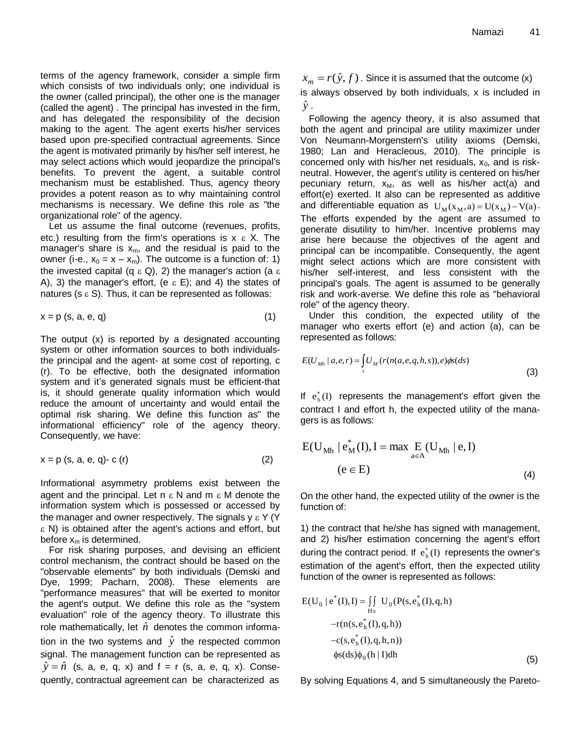terms of the agency framework, consider a simple firm which consists of two individuals only; one individual is the owner (called principal), the other one is the manager (called the agent) . The principal has invested in the firm, and has delegated the responsibility of the decision making to the agent. The agent exerts his/her services based upon pre-specified contractual agreements. Since the agent is motivated primarily by his/her self interest, he may select actions which would jeopardize the principal's benefits. To prevent the agent, a suitable control mechanism must be established. Thus, agency theory provides a potent reason as to why maintaining control mechanisms is necessary. We define this role as "the organizational role" of the agency.

Let us assume the final outcome (revenues, profits, etc.) resulting from the firm's operations is  $x \in X$ . The manager's share is  $x_m$ , and the residual is paid to the owner (i-e.,  $x_0 = x - x_m$ ). The outcome is a function of: 1) the invested capital (q  $\varepsilon$  Q), 2) the manager's action (a  $\varepsilon$ A), 3) the manager's effort, (e  $\varepsilon$  E); and 4) the states of natures (s  $\epsilon$  S). Thus, it can be represented as followas:

$$
x = p (s, a, e, q) \tag{1}
$$

The output (x) is reported by a designated accounting system or other information sources to both individualsthe principal and the agent- at some cost of reporting, c (r). To be effective, both the designated information system and it's generated signals must be efficient-that is, it should generate quality information which would reduce the amount of uncertainty and would entail the optimal risk sharing. We define this function as" the informational efficiency" role of the agency theory. Consequently, we have:

$$
x = p
$$
 (s, a, e, q)- c (r) (2)

Informational asymmetry problems exist between the agent and the principal. Let  $n \varepsilon N$  and  $m \varepsilon M$  denote the information system which is possessed or accessed by the manager and owner respectively. The signals  $y \in Y$  (Y  $\epsilon$  N) is obtained after the agent's actions and effort, but before  $x_m$  is determined.

For risk sharing purposes, and devising an efficient control mechanism, the contract should be based on the "observable elements" by both individuals (Demski and Dye, 1999; Pacharn, 2008). These elements are "performance measures" that will be exerted to monitor the agent's output. We define this role as the "system evaluation" role of the agency theory. To illustrate this role mathematically, let  $\hat{n}$  denotes the common information in the two systems and  $\hat{y}$  the respected common signal. The management function can be represented as  $\hat{y} = \hat{n}$  (s, a, e, q, x) and f = r (s, a, e, q, x). Consequently, contractual agreement can be characterized as

 $x_m = r(\hat{y}, f)$  . Since it is assumed that the outcome (x) is always observed by both individuals, x is included in *y* ˆ .

Following the agency theory, it is also assumed that both the agent and principal are utility maximizer under Von Neumann-Morgenstern's utility axioms (Demski, 1980; Lan and Heracleous, 2010). The principle is concerned only with his/her net residuals,  $x_0$ , and is riskneutral. However, the agent's utility is centered on his/her pecuniary return,  $x_M$ , as well as his/her act(a) and effort(e) exerted. It also can be represented as additive and differentiable equation as  $U_M(x_M, a) = U(x_M) - V(a)$ . The efforts expended by the agent are assumed to generate disutility to him/her. Incentive problems may arise here because the objectives of the agent and principal can be incompatible. Consequently, the agent might select actions which are more consistent with his/her self-interest, and less consistent with the principal's goals. The agent is assumed to be generally risk and work-averse. We define this role as "behavioral role" of the agency theory.

Under this condition, the expected utility of the manager who exerts effort (e) and action (a), can be represented as follows:

$$
E(U_{Mh} | a, e, r) = \int_{s} U_{M}(r(n(a, e, q, h, s)), e) \phi(s) ds)
$$
\n(3)

If  $e_h^*(I)$  represents the management's effort given the contract I and effort h, the expected utility of the managers is as follows:

$$
E(U_{Mh} | e_M^*(I), I = \max_{a \in A} E(U_{Mh} | e, I)
$$
  
(e \in E) (4)

On the other hand, the expected utility of the owner is the function of:

1) the contract that he/she has signed with management, and 2) his/her estimation concerning the agent's effort during the contract period. If  $e_h^*(I)$  represents the owner's estimation of the agent's effort, then the expected utility function of the owner is represented as follows:

$$
E(U_0 \mid e^*(I), I) = \iint_{Hs} U_0(P(s, e_h^*(I), q, h) -r(n(s, e_h^*(I), q, h)) -c(s, e_h^*(I), q, h, n))
$$
  
\n
$$
-c(s, e_h^*(I), q, h, n))
$$
  
\n
$$
\phi s(ds)\phi_0(h \mid I)dh
$$
\n(5)

By solving Equations 4, and 5 simultaneously the Pareto-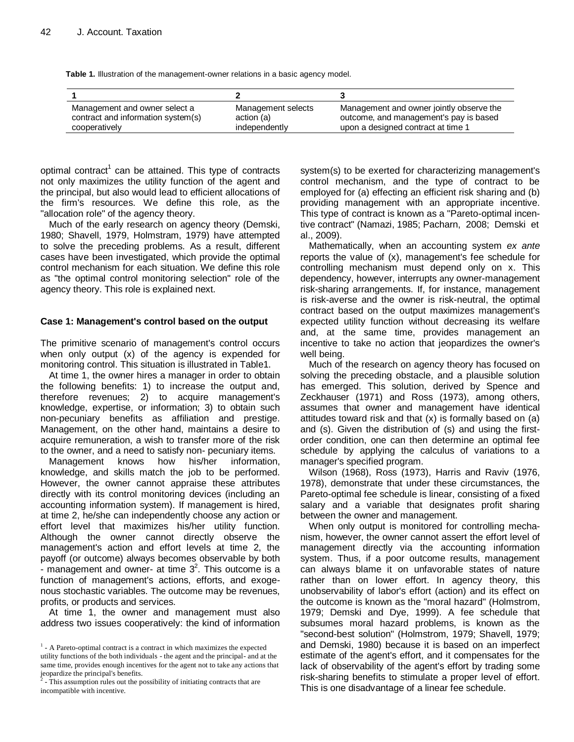| Table 1. Illustration of the management-owner relations in a basic agency model. |  |
|----------------------------------------------------------------------------------|--|
|----------------------------------------------------------------------------------|--|

| Management and owner select a      | Management selects | Management and owner jointly observe the |
|------------------------------------|--------------------|------------------------------------------|
| contract and information system(s) | action (a)         | outcome, and management's pay is based   |
| cooperatively                      | independently      | upon a designed contract at time 1       |

optimal contract<sup>1</sup> can be attained. This type of contracts not only maximizes the utility function of the agent and the principal, but also would lead to efficient allocations of the firm's resources. We define this role, as the "allocation role" of the agency theory.

Much of the early research on agency theory (Demski, 1980; Shavell, 1979, Holmstram, 1979) have attempted to solve the preceding problems. As a result, different cases have been investigated, which provide the optimal control mechanism for each situation. We define this role as "the optimal control monitoring selection" role of the agency theory. This role is explained next.

#### **Case 1: Management's control based on the output**

The primitive scenario of management's control occurs when only output (x) of the agency is expended for monitoring control. This situation is illustrated in Table1.

At time 1, the owner hires a manager in order to obtain the following benefits: 1) to increase the output and, therefore revenues; 2) to acquire management's knowledge, expertise, or information; 3) to obtain such non-pecuniary benefits as affiliation and prestige. Management, on the other hand, maintains a desire to acquire remuneration, a wish to transfer more of the risk to the owner, and a need to satisfy non- pecuniary items.

Management knows how his/her information, knowledge, and skills match the job to be performed. However, the owner cannot appraise these attributes directly with its control monitoring devices (including an accounting information system). If management is hired, at time 2, he/she can independently choose any action or effort level that maximizes his/her utility function. Although the owner cannot directly observe the management's action and effort levels at time 2, the payoff (or outcome) always becomes observable by both - management and owner- at time  $3^2$ . This outcome is a function of management's actions, efforts, and exogenous stochastic variables. The outcome may be revenues, profits, or products and services.

At time 1, the owner and management must also address two issues cooperatively: the kind of information system(s) to be exerted for characterizing management's control mechanism, and the type of contract to be employed for (a) effecting an efficient risk sharing and (b) providing management with an appropriate incentive. This type of contract is known as a "Pareto-optimal incentive contract" (Namazi, 1985; Pacharn, 2008; Demski et al., 2009).

Mathematically, when an accounting system *ex ante* reports the value of (x), management's fee schedule for controlling mechanism must depend only on x. This dependency, however, interrupts any owner-management risk-sharing arrangements. If, for instance, management is risk-averse and the owner is risk-neutral, the optimal contract based on the output maximizes management's expected utility function without decreasing its welfare and, at the same time, provides management an incentive to take no action that jeopardizes the owner's well being.

Much of the research on agency theory has focused on solving the preceding obstacle, and a plausible solution has emerged. This solution, derived by Spence and Zeckhauser (1971) and Ross (1973), among others, assumes that owner and management have identical attitudes toward risk and that (x) is formally based on (a) and (s). Given the distribution of (s) and using the firstorder condition, one can then determine an optimal fee schedule by applying the calculus of variations to a manager's specified program.

Wilson (1968), Ross (1973), Harris and Raviv (1976, 1978), demonstrate that under these circumstances, the Pareto-optimal fee schedule is linear, consisting of a fixed salary and a variable that designates profit sharing between the owner and management.

When only output is monitored for controlling mechanism, however, the owner cannot assert the effort level of management directly via the accounting information system. Thus, if a poor outcome results, management can always blame it on unfavorable states of nature rather than on lower effort. In agency theory, this unobservability of labor's effort (action) and its effect on the outcome is known as the "moral hazard" (Holmstrom, 1979; Demski and Dye, 1999). A fee schedule that subsumes moral hazard problems, is known as the "second-best solution" (Holmstrom, 1979; Shavell, 1979; and Demski, 1980) because it is based on an imperfect estimate of the agent's effort, and it compensates for the lack of observability of the agent's effort by trading some risk-sharing benefits to stimulate a proper level of effort. This is one disadvantage of a linear fee schedule.

<sup>&</sup>lt;sup>1</sup> - A Pareto-optimal contract is a contract in which maximizes the expected utility functions of the both individuals - the agent and the principal- and at the same time, provides enough incentives for the agent not to take any actions that jeopardize the principal's benefits.

<sup>-</sup> This assumption rules out the possibility of initiating contracts that are incompatible with incentive.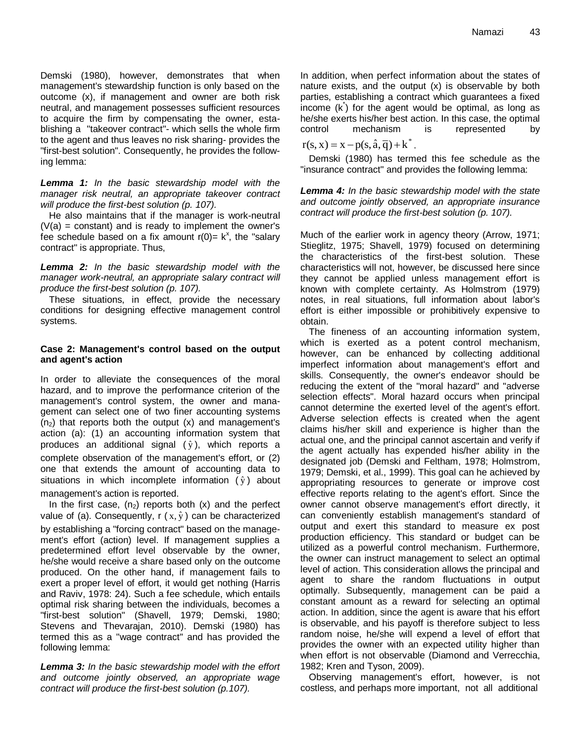Demski (1980), however, demonstrates that when management's stewardship function is only based on the outcome (x), if management and owner are both risk neutral, and management possesses sufficient resources to acquire the firm by compensating the owner, establishing a "takeover contract"- which sells the whole firm to the agent and thus leaves no risk sharing- provides the "first-best solution". Consequently, he provides the following lemma:

*Lemma 1: In the basic stewardship model with the manager risk neutral, an appropriate takeover contract will produce the first-best solution (p. 107).*

He also maintains that if the manager is work-neutral  $(V(a) = constant)$  and is ready to implement the owner's fee schedule based on a fix amount  $r(0) = k^x$ , the "salary contract" is appropriate. Thus,

*Lemma 2: In the basic stewardship model with the manager work-neutral, an appropriate salary contract will produce the first-best solution (p. 107).*

These situations, in effect, provide the necessary conditions for designing effective management control systems.

### **Case 2: Management's control based on the output and agent's action**

In order to alleviate the consequences of the moral hazard, and to improve the performance criterion of the management's control system, the owner and management can select one of two finer accounting systems  $(n<sub>2</sub>)$  that reports both the output  $(x)$  and management's action (a): (1) an accounting information system that produces an additional signal  $(\hat{y})$ , which reports a complete observation of the management's effort, or (2) one that extends the amount of accounting data to situations in which incomplete information  $(\hat{y})$  about management's action is reported.

In the first case,  $(n_2)$  reports both  $(x)$  and the perfect value of (a). Consequently,  $r(x, \hat{y})$  can be characterized by establishing a "forcing contract" based on the management's effort (action) level. If management supplies a predetermined effort level observable by the owner, he/she would receive a share based only on the outcome produced. On the other hand, if management fails to exert a proper level of effort, it would get nothing (Harris and Raviv, 1978: 24). Such a fee schedule, which entails optimal risk sharing between the individuals, becomes a "first-best solution" (Shavell, 1979; Demski, 1980; Stevens and Thevarajan, 2010). Demski (1980) has termed this as a "wage contract" and has provided the following lemma:

*Lemma 3: In the basic stewardship model with the effort and outcome jointly observed, an appropriate wage contract will produce the first-best solution (p.107).*

In addition, when perfect information about the states of nature exists, and the output (x) is observable by both parties, establishing a contract which guarantees a fixed income (k\* ) for the agent would be optimal, as long as he/she exerts his/her best action. In this case, the optimal control mechanism is represented by

 $r(s, x) = x - p(s, \hat{a}, \overline{q}) + k^*$ .

Demski (1980) has termed this fee schedule as the "insurance contract" and provides the following lemma:

*Lemma 4: In the basic stewardship model with the state and outcome jointly observed, an appropriate insurance contract will produce the first-best solution (p. 107).*

Much of the earlier work in agency theory (Arrow, 1971; Stieglitz, 1975; Shavell, 1979) focused on determining the characteristics of the first-best solution. These characteristics will not, however, be discussed here since they cannot be applied unless management effort is known with complete certainty. As Holmstrom (1979) notes, in real situations, full information about labor's effort is either impossible or prohibitively expensive to obtain.

The fineness of an accounting information system, which is exerted as a potent control mechanism, however, can be enhanced by collecting additional imperfect information about management's effort and skills. Consequently, the owner's endeavor should be reducing the extent of the "moral hazard" and "adverse selection effects". Moral hazard occurs when principal cannot determine the exerted level of the agent's effort. Adverse selection effects is created when the agent claims his/her skill and experience is higher than the actual one, and the principal cannot ascertain and verify if the agent actually has expended his/her ability in the designated job (Demski and Feltham, 1978; Holmstrom, 1979; Demski, et al., 1999). This goal can he achieved by appropriating resources to generate or improve cost effective reports relating to the agent's effort. Since the owner cannot observe management's effort directly, it can conveniently establish management's standard of output and exert this standard to measure ex post production efficiency. This standard or budget can be utilized as a powerful control mechanism. Furthermore, the owner can instruct management to select an optimal level of action. This consideration allows the principal and agent to share the random fluctuations in output optimally. Subsequently, management can be paid a constant amount as a reward for selecting an optimal action. In addition, since the agent is aware that his effort is observable, and his payoff is therefore subject to less random noise, he/she will expend a level of effort that provides the owner with an expected utility higher than when effort is not observable (Diamond and Verrecchia, 1982; Kren and Tyson, 2009).

Observing management's effort, however, is not costless, and perhaps more important, not all additional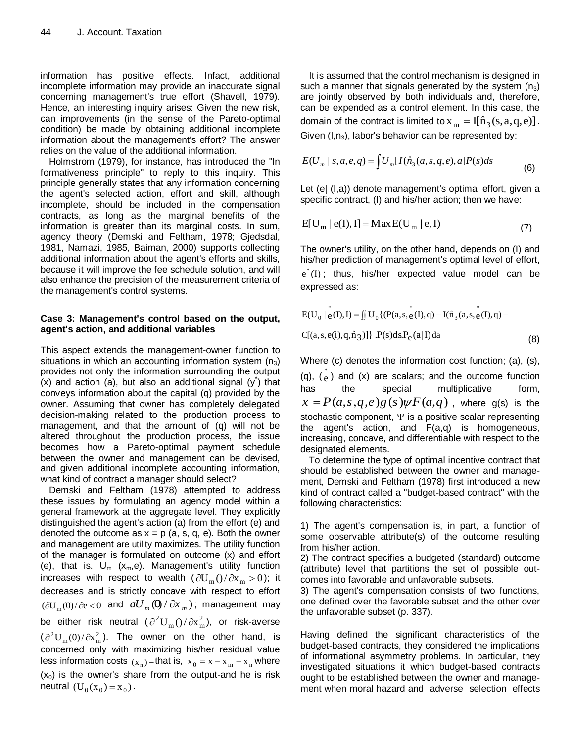information has positive effects. Infact, additional incomplete information may provide an inaccurate signal concerning management's true effort (Shavell, 1979). Hence, an interesting inquiry arises: Given the new risk, can improvements (in the sense of the Pareto-optimal condition) be made by obtaining additional incomplete information about the management's effort? The answer relies on the value of the additional information.

Holmstrom (1979), for instance, has introduced the "In formativeness principle" to reply to this inquiry. This principle generally states that any information concerning the agent's selected action, effort and skill, although incomplete, should be included in the compensation contracts, as long as the marginal benefits of the information is greater than its marginal costs. In sum, agency theory (Demski and Feltham, 1978; Gjedsdal, 1981, Namazi, 1985, Baiman, 2000) supports collecting additional information about the agent's efforts and skills, because it will improve the fee schedule solution, and will also enhance the precision of the measurement criteria of the management's control systems.

#### **Case 3: Management's control based on the output, agent's action, and additional variables**

This aspect extends the management-owner function to situations in which an accounting information system  $(n_3)$ provides not only the information surrounding the output  $(x)$  and action (a), but also an additional signal  $(y^{\dagger})$  that conveys information about the capital (q) provided by the owner. Assuming that owner has completely delegated decision-making related to the production process to management, and that the amount of (q) will not be altered throughout the production process, the issue becomes how a Pareto-optimal payment schedule between the owner and management can be devised, and given additional incomplete accounting information, what kind of contract a manager should select?

Demski and Feltham (1978) attempted to address these issues by formulating an agency model within a general framework at the aggregate level. They explicitly distinguished the agent's action (a) from the effort (e) and denoted the outcome as  $x = p$  (a, s, q, e). Both the owner and management are utility maximizes. The utility function of the manager is formulated on outcome (x) and effort (e), that is.  $U_m$  ( $x_m$ ,e). Management's utility function increases with respect to wealth  $(\partial U_{m}() / \partial x_{m} > 0)$ ; it decreases and is strictly concave with respect to effort  $(\partial U_m(0) / \partial e < 0$  and  $aU_m(\mathbf{0} / \partial x_m)$ ; management may be either risk neutral  $(\partial^2 U_m() / \partial x_m^2)$ , or risk-averse  $(\partial^2 U_m(0)/\partial x_m^2)$ . The owner on the other hand, is concerned only with maximizing his/her residual value less information costs  $(x_n)$  – that is,  $x_0 = x - x_m - x_n$  where  $(x_0)$  is the owner's share from the output-and he is risk neutral  $(U_0(x_0) = x_0)$ .

It is assumed that the control mechanism is designed in such a manner that signals generated by the system  $(n_3)$ are jointly observed by both individuals and, therefore, can be expended as a control element. In this case, the domain of the contract is limited to  $x_m = \text{I}[\hat{n}_3(s, a, q, e)]$ . Given  $(l, n_3)$ , labor's behavior can be represented by:

$$
E(U_m \mid s, a, e, q) = \int U_m[I(\hat{n}_3(a, s, q, e), a]P(s)ds \tag{6}
$$

Let (e| (I,a)) denote management's optimal effort, given a specific contract, (I) and his/her action; then we have:

$$
E[U_{m} | e(I), I] = Max E(U_{m} | e, I)
$$
\n(7)

The owner's utility, on the other hand, depends on (I) and his/her prediction of management's optimal level of effort,  $e^*(I)$ ; thus, his/her expected value model can be expressed as:

$$
E(U_0 \mid e^{*}(I), I) = \iint U_0 \{ (P(a, s, e^{*}(I), q) - I(\hat{n}_3(a, s, e^{*}(I), q) - C[(a, s, e(i), q, \hat{n}_3)] \} \cdot P(s) ds. P_e(a | I) da \tag{8}
$$

Where (c) denotes the information cost function; (a), (s), (q),  $(\begin{smallmatrix} * & * \end{smallmatrix})$  and  $(x)$  are scalars; and the outcome function has the special multiplicative form, ras the special multiplicative form,<br>  $x = P(a,s,q,e)g(s)\psi F(a,q)$ , where g(s) is the stochastic component,  $\Psi$  is a positive scalar representing the agent's action, and F(a,q) is homogeneous, increasing, concave, and differentiable with respect to the designated elements.

To determine the type of optimal incentive contract that should be established between the owner and management, Demski and Feltham (1978) first introduced a new kind of contract called a "budget-based contract" with the following characteristics:

1) The agent's compensation is, in part, a function of some observable attribute(s) of the outcome resulting from his/her action.

2) The contract specifies a budgeted (standard) outcome (attribute) level that partitions the set of possible outcomes into favorable and unfavorable subsets.

3) The agent's compensation consists of two functions, one defined over the favorable subset and the other over the unfavorable subset (p. 337).

Having defined the significant characteristics of the budget-based contracts, they considered the implications of informational asymmetry problems. In particular, they investigated situations it which budget-based contracts ought to be established between the owner and management when moral hazard and adverse selection effects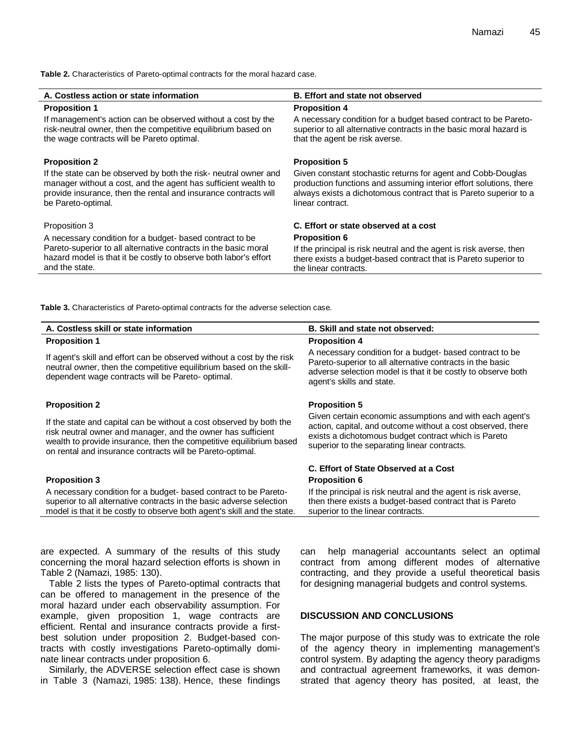**Table 2.** Characteristics of Pareto-optimal contracts for the moral hazard case.

 $\overline{a}$ 

| A. Costless action or state information                                                                                                                                                                                     | <b>B. Effort and state not observed</b>                                                                                                                                                                                     |
|-----------------------------------------------------------------------------------------------------------------------------------------------------------------------------------------------------------------------------|-----------------------------------------------------------------------------------------------------------------------------------------------------------------------------------------------------------------------------|
| <b>Proposition 1</b>                                                                                                                                                                                                        | <b>Proposition 4</b>                                                                                                                                                                                                        |
| If management's action can be observed without a cost by the<br>risk-neutral owner, then the competitive equilibrium based on<br>the wage contracts will be Pareto optimal.                                                 | A necessary condition for a budget based contract to be Pareto-<br>superior to all alternative contracts in the basic moral hazard is<br>that the agent be risk averse.                                                     |
| <b>Proposition 2</b>                                                                                                                                                                                                        | <b>Proposition 5</b>                                                                                                                                                                                                        |
| If the state can be observed by both the risk- neutral owner and<br>manager without a cost, and the agent has sufficient wealth to<br>provide insurance, then the rental and insurance contracts will<br>be Pareto-optimal. | Given constant stochastic returns for agent and Cobb-Douglas<br>production functions and assuming interior effort solutions, there<br>always exists a dichotomous contract that is Pareto superior to a<br>linear contract. |
| Proposition 3                                                                                                                                                                                                               | C. Effort or state observed at a cost                                                                                                                                                                                       |
| A necessary condition for a budget- based contract to be                                                                                                                                                                    | <b>Proposition 6</b>                                                                                                                                                                                                        |
| Pareto-superior to all alternative contracts in the basic moral<br>hazard model is that it be costly to observe both labor's effort<br>and the state.                                                                       | If the principal is risk neutral and the agent is risk averse, then<br>there exists a budget-based contract that is Pareto superior to<br>the linear contracts.                                                             |

**Table 3.** Characteristics of Pareto-optimal contracts for the adverse selection case.

| A. Costless skill or state information                                                                                                                                                                                                                                  | B. Skill and state not observed:                                                                                                                                                                                                |
|-------------------------------------------------------------------------------------------------------------------------------------------------------------------------------------------------------------------------------------------------------------------------|---------------------------------------------------------------------------------------------------------------------------------------------------------------------------------------------------------------------------------|
| <b>Proposition 1</b>                                                                                                                                                                                                                                                    | <b>Proposition 4</b>                                                                                                                                                                                                            |
| If agent's skill and effort can be observed without a cost by the risk<br>neutral owner, then the competitive equilibrium based on the skill-<br>dependent wage contracts will be Pareto- optimal.                                                                      | A necessary condition for a budget- based contract to be<br>Pareto-superior to all alternative contracts in the basic<br>adverse selection model is that it be costly to observe both<br>agent's skills and state.              |
| <b>Proposition 2</b>                                                                                                                                                                                                                                                    | <b>Proposition 5</b>                                                                                                                                                                                                            |
| If the state and capital can be without a cost observed by both the<br>risk neutral owner and manager, and the owner has sufficient<br>wealth to provide insurance, then the competitive equilibrium based<br>on rental and insurance contracts will be Pareto-optimal. | Given certain economic assumptions and with each agent's<br>action, capital, and outcome without a cost observed, there<br>exists a dichotomous budget contract which is Pareto<br>superior to the separating linear contracts. |
|                                                                                                                                                                                                                                                                         | C. Effort of State Observed at a Cost                                                                                                                                                                                           |
| <b>Proposition 3</b>                                                                                                                                                                                                                                                    | <b>Proposition 6</b>                                                                                                                                                                                                            |
| A necessary condition for a budget- based contract to be Pareto-<br>superior to all alternative contracts in the basic adverse selection<br>model is that it be costly to observe both agent's skill and the state.                                                     | If the principal is risk neutral and the agent is risk averse,<br>then there exists a budget-based contract that is Pareto<br>superior to the linear contracts.                                                                 |
|                                                                                                                                                                                                                                                                         |                                                                                                                                                                                                                                 |

are expected. A summary of the results of this study concerning the moral hazard selection efforts is shown in Table 2 (Namazi, 1985: 130).

Table 2 lists the types of Pareto-optimal contracts that can be offered to management in the presence of the moral hazard under each observability assumption. For example, given proposition 1, wage contracts are efficient. Rental and insurance contracts provide a firstbest solution under proposition 2. Budget-based contracts with costly investigations Pareto-optimally dominate linear contracts under proposition 6.

Similarly, the ADVERSE selection effect case is shown in Table 3 (Namazi, 1985: 138). Hence, these findings

can help managerial accountants select an optimal contract from among different modes of alternative contracting, and they provide a useful theoretical basis for designing managerial budgets and control systems.

#### **DISCUSSION AND CONCLUSIONS**

The major purpose of this study was to extricate the role of the agency theory in implementing management's control system. By adapting the agency theory paradigms and contractual agreement frameworks, it was demonstrated that agency theory has posited, at least, the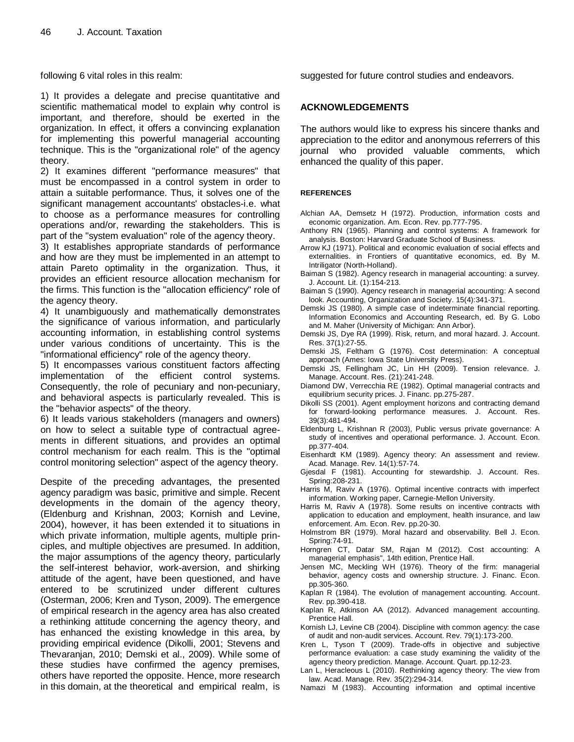following 6 vital roles in this realm:

1) It provides a delegate and precise quantitative and scientific mathematical model to explain why control is important, and therefore, should be exerted in the organization. In effect, it offers a convincing explanation for implementing this powerful managerial accounting technique. This is the "organizational role" of the agency theory.

2) It examines different "performance measures" that must be encompassed in a control system in order to attain a suitable performance. Thus, it solves one of the significant management accountants' obstacles-i.e. what to choose as a performance measures for controlling operations and/or, rewarding the stakeholders. This is part of the "system evaluation" role of the agency theory.

3) It establishes appropriate standards of performance and how are they must be implemented in an attempt to attain Pareto optimality in the organization. Thus, it provides an efficient resource allocation mechanism for the firms. This function is the "allocation efficiency" role of the agency theory.

4) It unambiguously and mathematically demonstrates the significance of various information, and particularly accounting information, in establishing control systems under various conditions of uncertainty. This is the "informational efficiency" role of the agency theory.

5) It encompasses various constituent factors affecting implementation of the efficient control systems. Consequently, the role of pecuniary and non-pecuniary, and behavioral aspects is particularly revealed. This is the "behavior aspects" of the theory.

6) It leads various stakeholders (managers and owners) on how to select a suitable type of contractual agreements in different situations, and provides an optimal control mechanism for each realm. This is the "optimal control monitoring selection" aspect of the agency theory.

Despite of the preceding advantages, the presented agency paradigm was basic, primitive and simple. Recent developments in the domain of the agency theory, (Eldenburg and Krishnan, 2003; Kornish and Levine, 2004), however, it has been extended it to situations in which private information, multiple agents, multiple principles, and multiple objectives are presumed. In addition, the major assumptions of the agency theory, particularly the self-interest behavior, work-aversion, and shirking attitude of the agent, have been questioned, and have entered to be scrutinized under different cultures (Osterman, 2006; Kren and Tyson, 2009). The emergence of empirical research in the agency area has also created a rethinking attitude concerning the agency theory, and has enhanced the existing knowledge in this area, by providing empirical evidence (Dikolli, 2001; Stevens and Thevaranjan, 2010; Demski et al., 2009). While some of these studies have confirmed the agency premises, others have reported the opposite. Hence, more research in this domain, at the theoretical and empirical realm, is suggested for future control studies and endeavors.

#### **ACKNOWLEDGEMENTS**

The authors would like to express his sincere thanks and appreciation to the editor and anonymous referrers of this journal who provided valuable comments, which enhanced the quality of this paper.

#### **REFERENCES**

- Alchian AA, Demsetz H (1972). Production, information costs and economic organization. Am. Econ. Rev. pp.777-795.
- Anthony RN (1965). Planning and control systems: A framework for analysis. Boston: Harvard Graduate School of Business.
- Arrow KJ (1971). Political and economic evaluation of social effects and externalities. in Frontiers of quantitative economics, ed. By M. Intriligator (North-Holland).
- Baiman S (1982). Agency research in managerial accounting: a survey. J. Account. Lit. (1):154-213.
- Baiman S (1990). Agency research in managerial accounting: A second look. Accounting, Organization and Society. 15(4):341-371.
- Demski JS (1980). A simple case of indeterminate financial reporting. Information Economics and Accounting Research, ed. By G. Lobo and M. Maher (University of Michigan: Ann Arbor).
- Demski JS, Dye RA (1999). Risk, return, and moral hazard. J. Account. Res. 37(1):27-55.
- Demski JS, Feltham G (1976). Cost determination: A conceptual approach (Ames: Iowa State University Press).
- Demski JS, Fellingham JC, Lin HH (2009). Tension relevance. J. Manage. Account. Res. (21):241-248.
- Diamond DW, Verrecchia RE (1982). Optimal managerial contracts and equilibrium security prices. J. Financ. pp.275-287.
- Dikolli SS (2001). Agent employment horizons and contracting demand for forward-looking performance measures. J. Account. Res. 39(3):481-494.
- Eldenburg L, Krishnan R (2003), Public versus private governance: A study of incentives and operational performance. J. Account. Econ. pp.377-404.
- Eisenhardt KM (1989). Agency theory: An assessment and review. Acad. Manage. Rev. 14(1):57-74.
- Gjesdal F (1981). Accounting for stewardship. J. Account. Res. Spring:208-231.
- Harris M, Raviv A (1976). Optimal incentive contracts with imperfect information. Working paper, Carnegie-Mellon University.
- Harris M, Raviv A (1978). Some results on incentive contracts with application to education and employment, health insurance, and law enforcement. Am. Econ. Rev. pp.20-30.
- Holmstrom BR (1979). Moral hazard and observability. Bell J. Econ. Spring:74-91.
- Horngren CT, Datar SM, Rajan M (2012). Cost accounting: A managerial emphasis", 14th edition, Prentice Hall.
- Jensen MC, Meckling WH (1976). Theory of the firm: managerial behavior, agency costs and ownership structure. J. Financ. Econ. pp.305-360.
- Kaplan R (1984). The evolution of management accounting. Account. Rev. pp.390-418.
- Kaplan R, Atkinson AA (2012). Advanced management accounting. Prentice Hall.
- Kornish LJ, Levine CB (2004). Discipline with common agency: the case of audit and non-audit services. Account. Rev. 79(1):173-200.
- Kren L, Tyson T (2009). Trade-offs in objective and subjective performance evaluation: a case study examining the validity of the agency theory prediction. Manage. Account. Quart. pp.12-23.
- Lan L, Heracleous L (2010). Rethinking agency theory: The view from law. Acad. Manage. Rev. 35(2):294-314.
- Namazi M (1983). Accounting information and optimal incentive